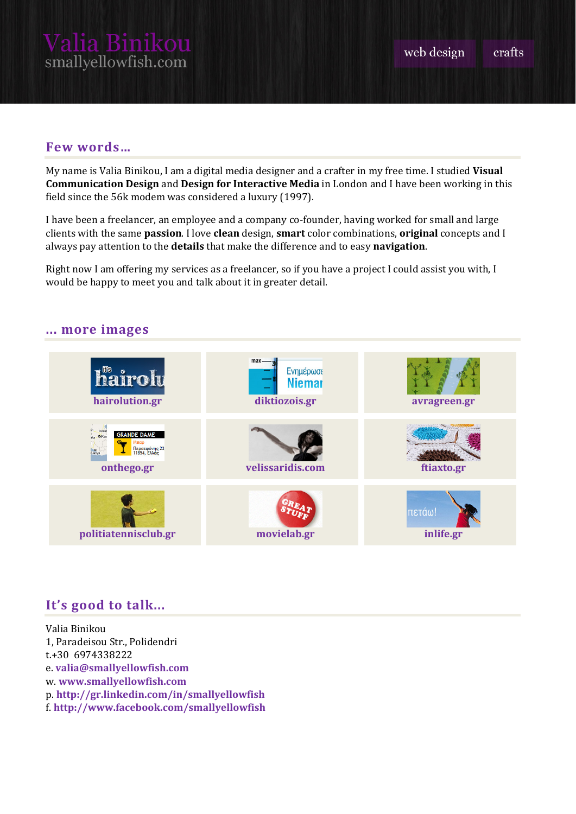#### crafts

## **Few words…**

My name is Valia Binikou, I am a digital media designer and a crafter in my free time. I studied **Visual Communication Design** and **Design for Interactive Media** in London and I have been working in this field since the 56k modem was considered a luxury (1997).

I have been a freelancer, an employee and a company co-founder, having worked for small and large clients with the same **passion**. I love **clean** design, **smart** color combinations, **original** concepts and I always pay attention to the **details** that make the difference and to easy **navigation**.

Right now I am offering my services as a freelancer, so if you have a project I could assist you with, I would be happy to meet you and talk about it in greater detail.



### **... more images**

# **It's good to talk...**

Valia Binikou 1, Paradeisou Str., Polidendri t.+30 6974338222 e. **[valia@smallyellowfish.com](mailto:valia@smallyellowfish.com)** w. **[www.smallyellowfish.com](http://www.smallyellowfish.com/)** p. **<http://gr.linkedin.com/in/smallyellowfish>** f. **<http://www.facebook.com/smallyellowfish>**